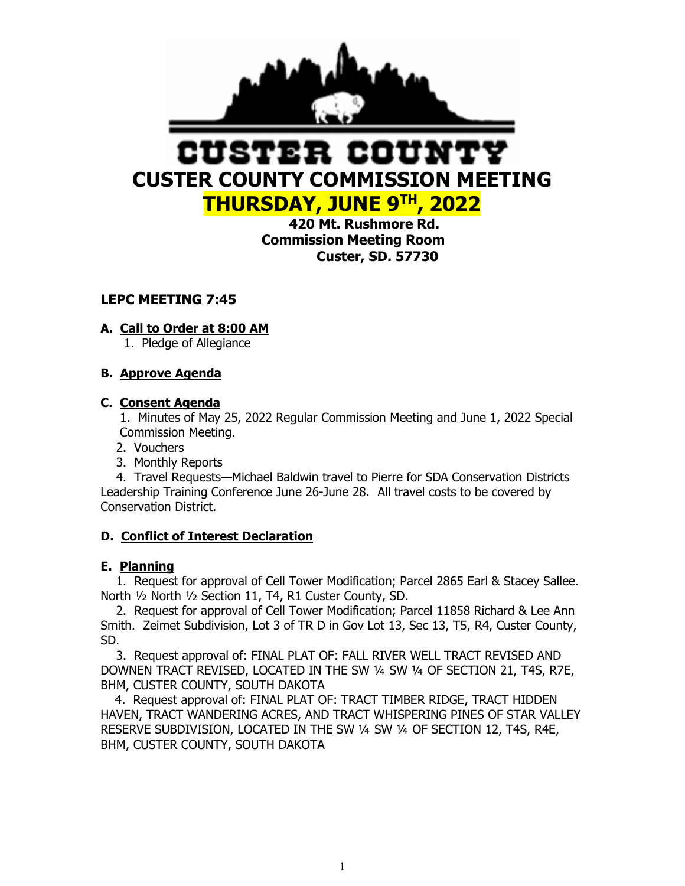

# ISTER COUN **CUSTER COUNTY COMMISSION MEETING THURSDAY, JUNE 9TH, 2022**

 **420 Mt. Rushmore Rd. Commission Meeting Room Custer, SD. 57730**

# **LEPC MEETING 7:45**

# **A. Call to Order at 8:00 AM**

1. Pledge of Allegiance

# **B. Approve Agenda**

# **C. Consent Agenda**

 1. Minutes of May 25, 2022 Regular Commission Meeting and June 1, 2022 Special Commission Meeting.

- 2. Vouchers
- 3. Monthly Reports

 4. Travel Requests—Michael Baldwin travel to Pierre for SDA Conservation Districts Leadership Training Conference June 26-June 28. All travel costs to be covered by Conservation District.

## **D. Conflict of Interest Declaration**

## **E. Planning**

 1. Request for approval of Cell Tower Modification; Parcel 2865 Earl & Stacey Sallee. North ½ North ½ Section 11, T4, R1 Custer County, SD.

 2. Request for approval of Cell Tower Modification; Parcel 11858 Richard & Lee Ann Smith. Zeimet Subdivision, Lot 3 of TR D in Gov Lot 13, Sec 13, T5, R4, Custer County, SD.

 3. Request approval of: FINAL PLAT OF: FALL RIVER WELL TRACT REVISED AND DOWNEN TRACT REVISED, LOCATED IN THE SW ¼ SW ¼ OF SECTION 21, T4S, R7E, BHM, CUSTER COUNTY, SOUTH DAKOTA

4. Request approval of: FINAL PLAT OF: TRACT TIMBER RIDGE, TRACT HIDDEN HAVEN, TRACT WANDERING ACRES, AND TRACT WHISPERING PINES OF STAR VALLEY RESERVE SUBDIVISION, LOCATED IN THE SW ¼ SW ¼ OF SECTION 12, T4S, R4E, BHM, CUSTER COUNTY, SOUTH DAKOTA